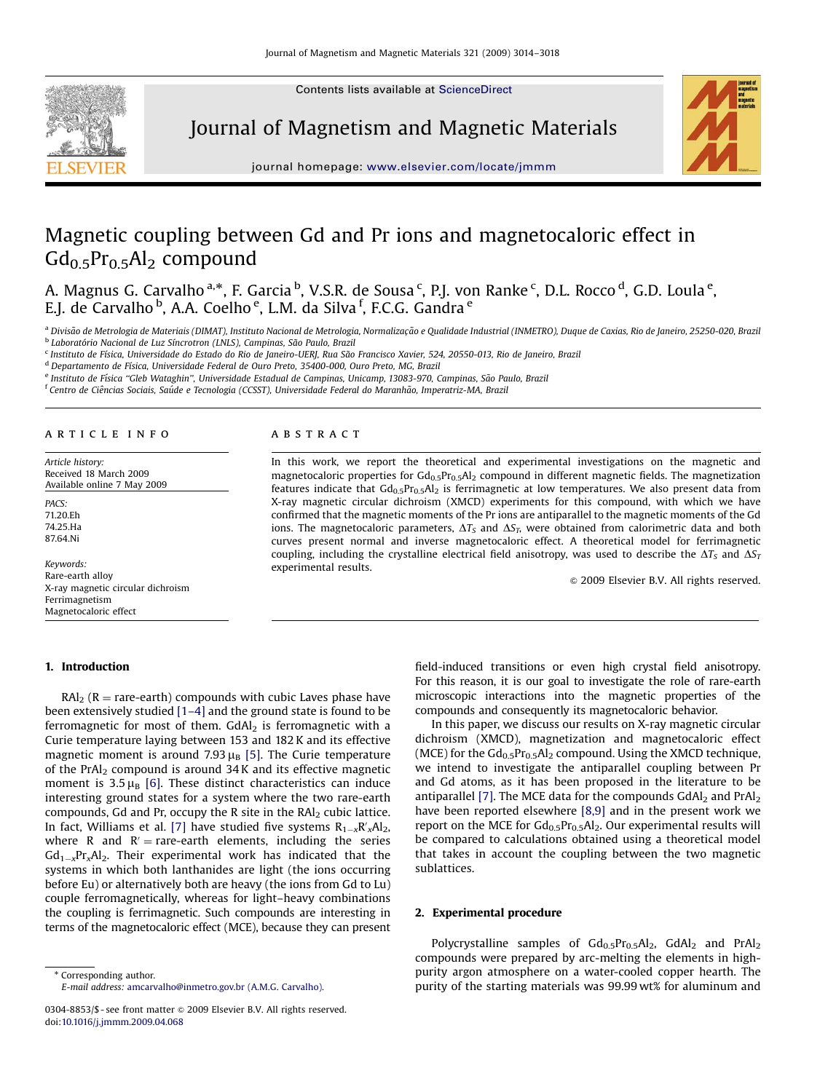Contents lists available at [ScienceDirect](www.sciencedirect.com/science/journal/magma)



Journal of Magnetism and Magnetic Materials



journal homepage: <www.elsevier.com/locate/jmmm>

# Magnetic coupling between Gd and Pr ions and magnetocaloric effect in  $Gd_{0.5}Pr_{0.5}Al_2$  compound

A. Magnus G. Carvalho <sup>a,</sup>\*, F. Garcia <sup>b</sup>, V.S.R. de Sousa <sup>c</sup>, P.J. von Ranke <sup>c</sup>, D.L. Rocco <sup>d</sup>, G.D. Loula <sup>e</sup>, E.J. de Carvalho <sup>b</sup>, A.A. Coelho <sup>e</sup>, L.M. da Silva <sup>f</sup>, F.C.G. Gandra <sup>e</sup>

<sup>a</sup> Divisão de Metrologia de Materiais (DIMAT), Instituto Nacional de Metrologia, Normalização e Qualidade Industrial (INMETRO), Duque de Caxias, Rio de Janeiro, 25250-020, Brazil <sup>b</sup> Laboratório Nacional de Luz Síncrotron (LNLS), Campinas, São Paulo, Brazil

<sup>c</sup> Instituto de Física, Universidade do Estado do Rio de Janeiro-UERJ, Rua São Francisco Xavier, 524, 20550-013, Rio de Janeiro, Brazil

<sup>d</sup> Departamento de Física, Universidade Federal de Ouro Preto, 35400-000, Ouro Preto, MG, Brazil

e Instituto de Física "Gleb Wataghin", Universidade Estadual de Campinas, Unicamp, 13083-970, Campinas, São Paulo, Brazil

<sup>f</sup> Centro de Ciências Sociais, Saúde e Tecnologia (CCSST), Universidade Federal do Maranhão, Imperatriz-MA, Brazil

#### article info

Article history: Received 18 March 2009 Available online 7 May 2009

PACS: 71.20.Eh 74.25.Ha 87.64.Ni

Keywords: Rare-earth alloy X-ray magnetic circular dichroism Ferrimagnetism Magnetocaloric effect

# 1. Introduction

# $\text{RAI}_2$  (R = rare-earth) compounds with cubic Laves phase have been extensively studied [\[1–4\]](#page-4-0) and the ground state is found to be ferromagnetic for most of them.  $GdAl<sub>2</sub>$  is ferromagnetic with a Curie temperature laying between 153 and 182 K and its effective magnetic moment is around 7.93  $\mu_B$  [\[5\]](#page-4-0). The Curie temperature of the PrAl<sub>2</sub> compound is around  $34K$  and its effective magnetic moment is  $3.5 \mu_B$  [\[6\].](#page-4-0) These distinct characteristics can induce interesting ground states for a system where the two rare-earth compounds, Gd and Pr, occupy the R site in the RAl<sub>2</sub> cubic lattice. In fact, Williams et al. [\[7\]](#page-4-0) have studied five systems  $R_{1-x}R'_xA l_2$ , where R and  $R'$  = rare-earth elements, including the series  $\mathsf{Gd}_{1-x}\mathsf{Pr}_x\mathsf{Al}_2.$  Their experimental work has indicated that the systems in which both lanthanides are light (the ions occurring before Eu) or alternatively both are heavy (the ions from Gd to Lu) couple ferromagnetically, whereas for light–heavy combinations the coupling is ferrimagnetic. Such compounds are interesting in terms of the magnetocaloric effect (MCE), because they can present

\* Corresponding author. E-mail address: [amcarvalho@inmetro.gov.br \(A.M.G. Carvalho\).](mailto:amcarvalho@inmetro.gov.br)

## ABSTRACT

In this work, we report the theoretical and experimental investigations on the magnetic and magnetocaloric properties for  $Gd_{0.5}Pr_{0.5}Al_2$  compound in different magnetic fields. The magnetization features indicate that  $Gd_{0.5}Pr_{0.5}Al_2$  is ferrimagnetic at low temperatures. We also present data from X-ray magnetic circular dichroism (XMCD) experiments for this compound, with which we have confirmed that the magnetic moments of the Pr ions are antiparallel to the magnetic moments of the Gd ions. The magnetocaloric parameters,  $\Delta T_S$  and  $\Delta S_T$ , were obtained from calorimetric data and both curves present normal and inverse magnetocaloric effect. A theoretical model for ferrimagnetic coupling, including the crystalline electrical field anisotropy, was used to describe the  $\Delta T_s$  and  $\Delta S_T$ experimental results.

 $\odot$  2009 Elsevier B.V. All rights reserved.

field-induced transitions or even high crystal field anisotropy. For this reason, it is our goal to investigate the role of rare-earth microscopic interactions into the magnetic properties of the compounds and consequently its magnetocaloric behavior.

In this paper, we discuss our results on X-ray magnetic circular dichroism (XMCD), magnetization and magnetocaloric effect (MCE) for the  $Gd_{0.5}Pr_{0.5}Al_2$  compound. Using the XMCD technique, we intend to investigate the antiparallel coupling between Pr and Gd atoms, as it has been proposed in the literature to be antiparallel [\[7\]](#page-4-0). The MCE data for the compounds  $GdAl<sub>2</sub>$  and PrAl<sub>2</sub> have been reported elsewhere [\[8,9\]](#page-4-0) and in the present work we report on the MCE for  $Gd_{0.5}Pr_{0.5}Al_2$ . Our experimental results will be compared to calculations obtained using a theoretical model that takes in account the coupling between the two magnetic sublattices.

# 2. Experimental procedure

Polycrystalline samples of  $Gd_{0.5}Pr_{0.5}Al_2$ ,  $GdAl_2$  and  $PrAl_2$ compounds were prepared by arc-melting the elements in highpurity argon atmosphere on a water-cooled copper hearth. The purity of the starting materials was 99.99 wt% for aluminum and

<sup>0304-8853/\$ -</sup> see front matter  $\circ$  2009 Elsevier B.V. All rights reserved. doi:[10.1016/j.jmmm.2009.04.068](dx.doi.org/10.1016/j.jmmm.2009.04.068)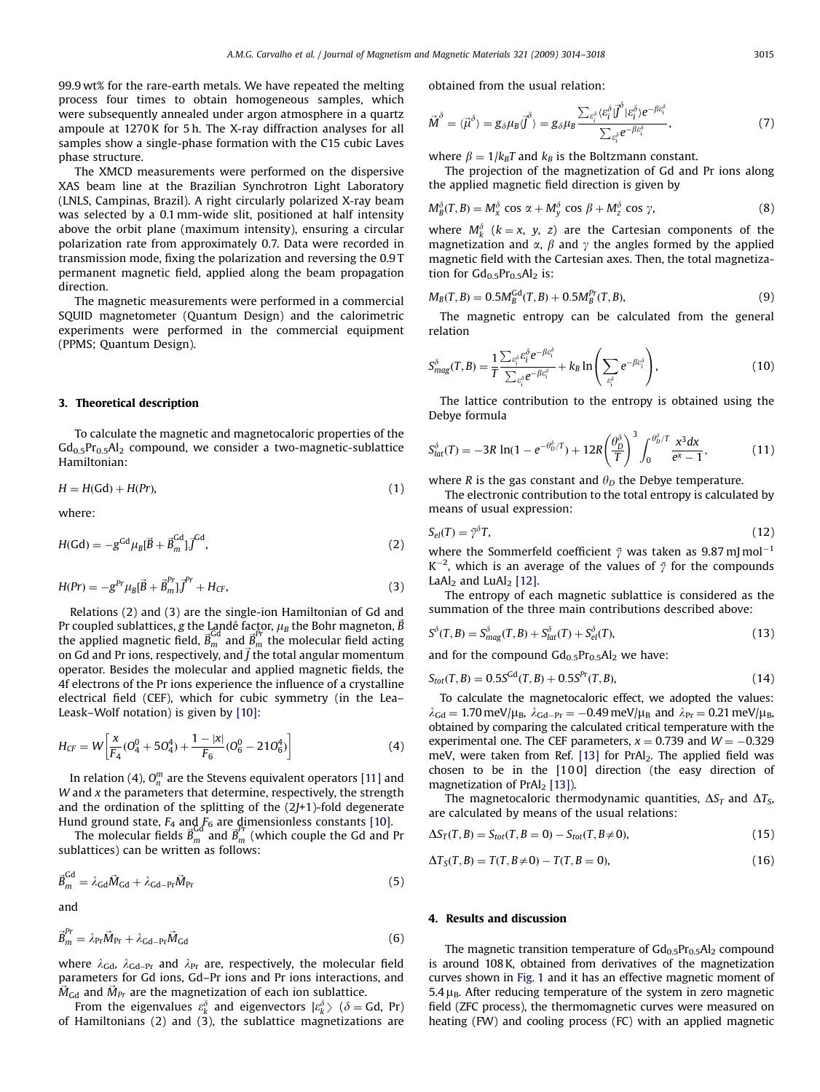99.9 wt% for the rare-earth metals. We have repeated the melting process four times to obtain homogeneous samples, which were subsequently annealed under argon atmosphere in a quartz ampoule at 1270 K for 5 h. The X-ray diffraction analyses for all samples show a single-phase formation with the C15 cubic Laves phase structure.

The XMCD measurements were performed on the dispersive XAS beam line at the Brazilian Synchrotron Light Laboratory (LNLS, Campinas, Brazil). A right circularly polarized X-ray beam was selected by a 0.1 mm-wide slit, positioned at half intensity above the orbit plane (maximum intensity), ensuring a circular polarization rate from approximately 0.7. Data were recorded in transmission mode, fixing the polarization and reversing the 0.9 T permanent magnetic field, applied along the beam propagation direction.

The magnetic measurements were performed in a commercial SQUID magnetometer (Quantum Design) and the calorimetric experiments were performed in the commercial equipment (PPMS; Quantum Design).

## 3. Theoretical description

To calculate the magnetic and magnetocaloric properties of the  $Gd_{0.5}Pr_{0.5}Al_{2}$  compound, we consider a two-magnetic-sublattice Hamiltonian:

$$
H = H(\mathsf{Gd}) + H(\mathsf{Pr}),\tag{1}
$$

where:

$$
H(\text{Gd}) = -g^{\text{Gd}} \mu_{\text{B}} [\vec{B} + \vec{B}_{m}^{\text{Gd}}] \vec{J}^{\text{Gd}},\tag{2}
$$

$$
H(Pr) = -g^{Pr} \mu_B [\vec{B} + \vec{B}_{m}^{Pr}] \vec{J}^{Pr} + H_{CF},
$$
\n(3)

Relations (2) and (3) are the single-ion Hamiltonian of Gd and Pr coupled sublattices, g the Landé factor,  $\mu_B$  the Bohr magneton,  $\vec B$ the applied magnetic field,  $\vec{B}_{m}^{Gd}$  and  $\vec{B}_{m}^{Pr}$  the molecular field acting on Gd and Pr ions, respectively, and  $\vec{J}$  the total angular momentum operator. Besides the molecular and applied magnetic fields, the 4f electrons of the Pr ions experience the influence of a crystalline electrical field (CEF), which for cubic symmetry (in the Lea– Leask–Wolf notation) is given by [\[10\]:](#page-4-0)

$$
H_{CF} = W \left[ \frac{x}{F_4} (O_4^0 + 5O_4^4) + \frac{1 - |x|}{F_6} (O_6^0 - 21O_6^4) \right]
$$
 (4)

In relation (4),  $O_n^m$  are the Stevens equivalent operators [\[11\]](#page-4-0) and W and  $x$  the parameters that determine, respectively, the strength and the ordination of the splitting of the  $(2J+1)$ -fold degenerate Hund ground state,  $F_4$  and  $F_6$  are dimensionless constants [\[10\].](#page-4-0)

The molecular fields  $\vec{B}_m^{\text{Gd}}$  and  $\vec{B}_m^{\text{pr}}$  (which couple the Gd and Pr sublattices) can be written as follows:

$$
\vec{B}_{m}^{\text{Gd}} = \lambda_{\text{Gd}} \vec{M}_{\text{Gd}} + \lambda_{\text{Gd-Pr}} \vec{M}_{\text{Pr}} \tag{5}
$$

and

$$
\vec{B}_{m}^{Pr} = \lambda_{\rm Pr} \vec{M}_{\rm Pr} + \lambda_{\rm Gd-Pr} \vec{M}_{\rm Gd}
$$
\n(6)

where  $\lambda_{\text{Gd}}$ ,  $\lambda_{\text{Gd-Pr}}$  and  $\lambda_{\text{Pr}}$  are, respectively, the molecular field parameters for Gd ions, Gd–Pr ions and Pr ions interactions, and  $\vec{M}_{\text{Gd}}$  and  $\vec{M}_{\text{Pr}}$  are the magnetization of each ion sublattice.

From the eigenvalues  $\varepsilon_k^{\delta}$  and eigenvectors  $|\varepsilon_k^{\delta}\rangle$  ( $\delta = \text{Gd}$ , Pr)<br>Hamiltonians (2) and (3) the sublattice magnetizations are of Hamiltonians (2) and (3), the sublattice magnetizations are obtained from the usual relation:

$$
\vec{M}^{\delta} = \langle \vec{\mu}^{\delta} \rangle = g_{\delta} \mu_B \vec{J}^{\delta} \rangle = g_{\delta} \mu_B \frac{\sum_{e_i^{\delta}} \langle e_i^{\delta} | \vec{J}^{\delta} | e_i^{\delta} \rangle e^{-\beta e_i^{\delta}}}{\sum_{e_i^{\delta}} e^{-\beta e_i^{\delta}}}, \tag{7}
$$

where  $\beta = 1/k_B T$  and  $k_B$  is the Boltzmann constant.

The projection of the magnetization of Gd and Pr ions along the applied magnetic field direction is given by

$$
M_B^{\delta}(T, B) = M_x^{\delta} \cos \alpha + M_y^{\delta} \cos \beta + M_z^{\delta} \cos \gamma,
$$
 (8)

where  $M_k^{\delta}$  ( $k = x$ ,  $y$ ,  $z$ ) are the Cartesian components of the magnetization and  $\alpha$ ,  $\beta$  and  $\gamma$  the angles formed by the applied magnetic field with the Cartesian axes. Then, the total magnetization for  $Gd_{0.5}Pr_{0.5}Al_2$  is:

$$
M_B(T, B) = 0.5M_B^{\text{Gd}}(T, B) + 0.5M_B^{\text{Pr}}(T, B), \tag{9}
$$

The magnetic entropy can be calculated from the general relation

$$
S_{mag}^{\delta}(T,B) = \frac{1}{T} \frac{\sum_{e_i^{\delta}} e_i^{\delta} e^{-\beta e_i^{\delta}}}{\sum_{e_i^{\delta}} e^{-\beta e_i^{\delta}}} + k_B \ln \left( \sum_{e_i^{\delta}} e^{-\beta e_i^{\delta}} \right),
$$
(10)

The lattice contribution to the entropy is obtained using the Debye formula

$$
S_{lat}^{\delta}(T) = -3R \ln(1 - e^{-\theta_D^{\delta}/T}) + 12R \left(\frac{\theta_D^{\delta}}{T}\right)^3 \int_0^{\theta_D^{\delta}/T} \frac{x^3 dx}{e^x - 1},
$$
(11)

where R is the gas constant and  $\theta_D$  the Debye temperature.

The electronic contribution to the total entropy is calculated by means of usual expression:

$$
S_{el}(T) = \bar{\gamma}^{\delta} T,\tag{12}
$$

where the Sommerfeld coefficient  $\bar{\gamma}$  was taken as 9.87 mJ mol<sup>-1</sup>  $K^{-2}$ , which is an average of the values of  $\bar{\gamma}$  for the compounds LaAl<sub>2</sub> and LuAl<sub>2</sub> [\[12\]](#page-4-0).

The entropy of each magnetic sublattice is considered as the summation of the three main contributions described above:

$$
S^{\delta}(T,B) = S^{\delta}_{mag}(T,B) + S^{\delta}_{lat}(T) + S^{\delta}_{el}(T),
$$
\n(13)

and for the compound  $Gd_{0.5}Pr_{0.5}Al_2$  we have:

$$
S_{tot}(T, B) = 0.5S^{Gd}(T, B) + 0.5S^{Pr}(T, B),
$$
\n(14)

To calculate the magnetocaloric effect, we adopted the values:  $\lambda_{\rm{Gd}} = 1.70 \,\text{meV}/\mu_{\rm{B}}$ ,  $\lambda_{\rm{Gd-Pr}} = -0.49 \,\text{meV}/\mu_{\rm{B}}$  and  $\lambda_{\rm{Pr}} = 0.21 \,\text{meV}/\mu_{\rm{B}}$ obtained by comparing the calculated critical temperature with the experimental one. The CEF parameters,  $x = 0.739$  and  $W = -0.329$ meV, were taken from Ref.  $[13]$  for PrAl<sub>2</sub>. The applied field was chosen to be in the [10 0] direction (the easy direction of magnetization of  $PrAl<sub>2</sub>$  [\[13\]](#page-4-0)).

The magnetocaloric thermodynamic quantities,  $\Delta S_T$  and  $\Delta T_S$ , are calculated by means of the usual relations:

$$
\Delta S_T(T, B) = S_{tot}(T, B = 0) - S_{tot}(T, B \neq 0),\tag{15}
$$

$$
\Delta T_S(T, B) = T(T, B \neq 0) - T(T, B = 0),\tag{16}
$$

#### 4. Results and discussion

The magnetic transition temperature of  $Gd_{0.5}Pr_{0.5}Al_2$  compound is around 108 K, obtained from derivatives of the magnetization curves shown in [Fig. 1](#page-2-0) and it has an effective magnetic moment of 5.4  $\mu_B$ . After reducing temperature of the system in zero magnetic field (ZFC process), the thermomagnetic curves were measured on heating (FW) and cooling process (FC) with an applied magnetic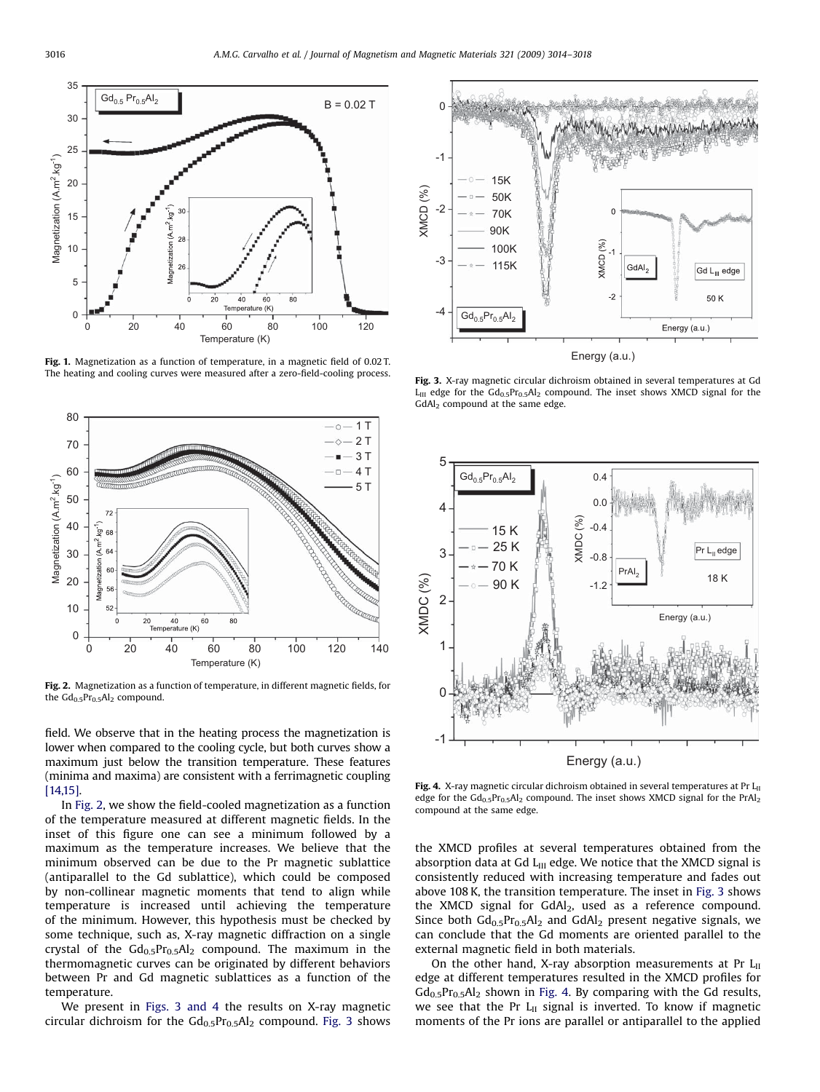<span id="page-2-0"></span>

Fig. 1. Magnetization as a function of temperature, in a magnetic field of 0.02 T. The heating and cooling curves were measured after a zero-field-cooling process.



Fig. 2. Magnetization as a function of temperature, in different magnetic fields, for the  $Gd_{0.5}Pr_{0.5}Al_2$  compound.

field. We observe that in the heating process the magnetization is lower when compared to the cooling cycle, but both curves show a maximum just below the transition temperature. These features (minima and maxima) are consistent with a ferrimagnetic coupling [\[14,15\]](#page-4-0).

In Fig. 2, we show the field-cooled magnetization as a function of the temperature measured at different magnetic fields. In the inset of this figure one can see a minimum followed by a maximum as the temperature increases. We believe that the minimum observed can be due to the Pr magnetic sublattice (antiparallel to the Gd sublattice), which could be composed by non-collinear magnetic moments that tend to align while temperature is increased until achieving the temperature of the minimum. However, this hypothesis must be checked by some technique, such as, X-ray magnetic diffraction on a single crystal of the  $Gd_{0.5}Pr_{0.5}Al_2$  compound. The maximum in the thermomagnetic curves can be originated by different behaviors between Pr and Gd magnetic sublattices as a function of the temperature.

We present in Figs. 3 and 4 the results on X-ray magnetic circular dichroism for the  $Gd_{0.5}Pr_{0.5}Al_2$  compound. Fig. 3 shows



Fig. 3. X-ray magnetic circular dichroism obtained in several temperatures at Gd  $L_{III}$  edge for the  $Gd_{0.5}Pr_{0.5}Al_2$  compound. The inset shows XMCD signal for the GdAl<sub>2</sub> compound at the same edge.



Fig. 4. X-ray magnetic circular dichroism obtained in several temperatures at Pr  $L_{II}$ edge for the  $Gd_{0.5}Pr_{0.5}Al_2$  compound. The inset shows XMCD signal for the PrAl<sub>2</sub> compound at the same edge.

the XMCD profiles at several temperatures obtained from the absorption data at Gd  $L_{III}$  edge. We notice that the XMCD signal is consistently reduced with increasing temperature and fades out above 108 K, the transition temperature. The inset in Fig. 3 shows the XMCD signal for  $GdAl<sub>2</sub>$ , used as a reference compound. Since both  $Gd_{0.5}Pr_{0.5}Al_2$  and  $GdAl_2$  present negative signals, we can conclude that the Gd moments are oriented parallel to the external magnetic field in both materials.

On the other hand, X-ray absorption measurements at Pr  $L_{II}$ edge at different temperatures resulted in the XMCD profiles for  $Gd_{0.5}Pr_{0.5}Al_2$  shown in Fig. 4. By comparing with the Gd results, we see that the Pr  $L_{II}$  signal is inverted. To know if magnetic moments of the Pr ions are parallel or antiparallel to the applied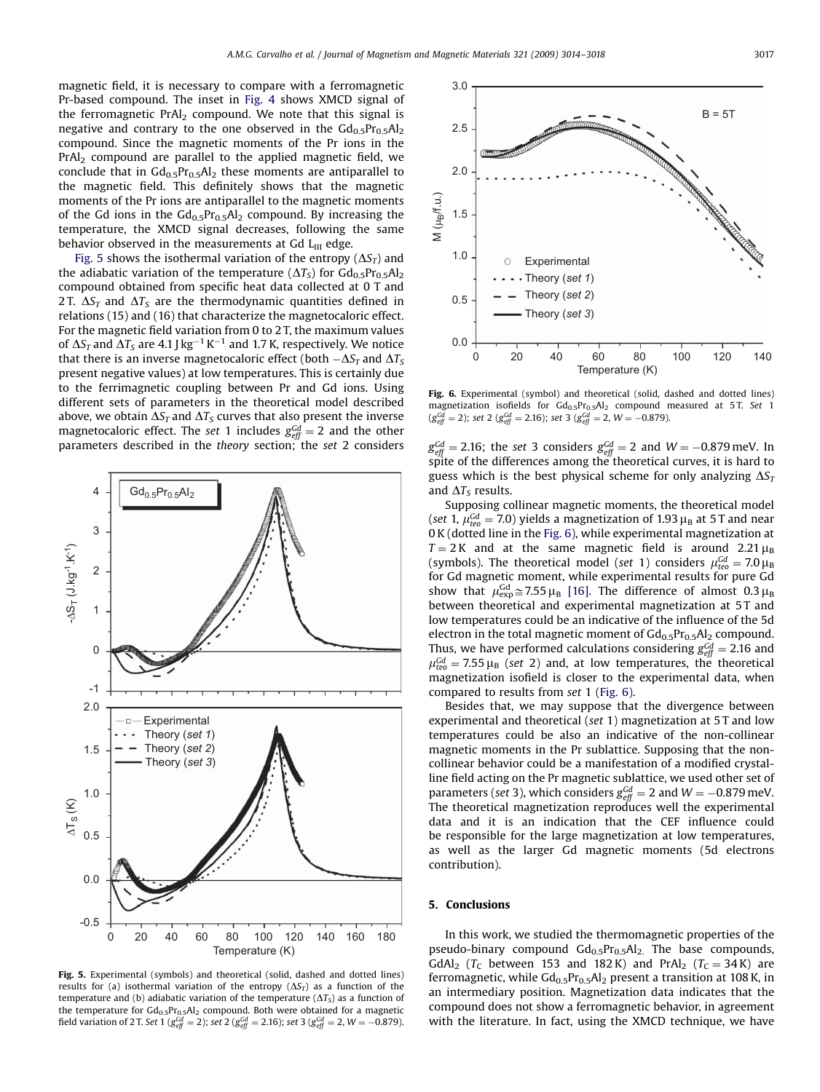magnetic field, it is necessary to compare with a ferromagnetic Pr-based compound. The inset in [Fig. 4](#page-2-0) shows XMCD signal of the ferromagnetic  $PrAl<sub>2</sub>$  compound. We note that this signal is negative and contrary to the one observed in the  $Gd_{0.5}Pr_{0.5}Al_2$ compound. Since the magnetic moments of the Pr ions in the  $PrAI<sub>2</sub>$  compound are parallel to the applied magnetic field, we conclude that in  $Gd_{0.5}Pr_{0.5}Al_2$  these moments are antiparallel to the magnetic field. This definitely shows that the magnetic moments of the Pr ions are antiparallel to the magnetic moments of the Gd ions in the  $Gd_{0.5}Pr_{0.5}Al_2$  compound. By increasing the temperature, the XMCD signal decreases, following the same behavior observed in the measurements at  $Gd$   $L_{II}$  edge.

Fig. 5 shows the isothermal variation of the entropy  $(\Delta S_T)$  and the adiabatic variation of the temperature ( $\Delta T_S$ ) for  $Gd_{0.5}Pr_{0.5}Al_2$ compound obtained from specific heat data collected at 0 T and 2 T.  $\Delta S_T$  and  $\Delta T_S$  are the thermodynamic quantities defined in relations (15) and (16) that characterize the magnetocaloric effect. For the magnetic field variation from 0 to 2 T, the maximum values of  $\Delta S_T$  and  $\Delta T_S$  are 4.1 J kg $^{-1}$  K $^{-1}$  and 1.7 K, respectively. We notice that there is an inverse magnetocaloric effect (both  $-\Delta S_T$  and  $\Delta T_S$ present negative values) at low temperatures. This is certainly due to the ferrimagnetic coupling between Pr and Gd ions. Using different sets of parameters in the theoretical model described above, we obtain  $\Delta S_T$  and  $\Delta T_S$  curves that also present the inverse magnetocaloric effect. The set 1 includes  $g_{\text{eff}}^{\text{Gd}}=2$  and the other parameters described in the theory section; the set 2 considers



Fig. 5. Experimental (symbols) and theoretical (solid, dashed and dotted lines) results for (a) isothermal variation of the entropy  $(\Delta S_T)$  as a function of the temperature and (b) adiabatic variation of the temperature ( $\Delta T_S$ ) as a function of the temperature for  $Gd_{0.5}Pr_{0.5}Al_2$  compound. Both were obtained for a magnetic field variation of 2 T. Set 1 ( $g_{e\!f\!f}^{Gd}=$  2); set 2 ( $g_{e\!f\!f}^{Gd}=$  2.16); set 3 ( $g_{e\!f\!f}^{Gd}=$  2, W  $=$   $-0.879$ ).



Fig. 6. Experimental (symbol) and theoretical (solid, dashed and dotted lines) magnetization isofields for  $Gd_{0.5}Pr_{0.5}Al_2$  compound measured at 5T. Set 1  $(g_{\textit{eff}}^{\textit{Gd}}=2);$  set 2 ( $g_{\textit{eff}}^{\textit{Gd}}=2.16);$  set 3 ( $g_{\textit{eff}}^{\textit{Gd}}=2,$   $W=-0.879)$ .

 $\frac{Gd}{\text{eff}}$  = 2.16; the set 3 considers  $g_{\text{eff}}^{\text{Gd}}$  = 2 and W = -0.879 meV. In spite of the differences among the theoretical curves, it is hard to guess which is the best physical scheme for only analyzing  $\Delta S_T$ and  $\Delta T_S$  results.

Supposing collinear magnetic moments, the theoretical model (set 1,  $\mu_{\text{teo}}^{\text{Gd}} = 7.0$ ) yields a magnetization of 1.93  $\mu_{\text{B}}$  at 5 T and near 0 K (dotted line in the Fig. 6), while experimental magnetization at  $T = 2$ K and at the same magnetic field is around 2.21  $\mu_B$ (symbols). The theoretical model (set 1) considers  $\mu_{teo}^{Gd} = 7.0 \,\mu_{B}$ for Gd magnetic moment, while experimental results for pure Gd show that  $\mu_{\rm exp}^{\rm Gd} \approx 7.55 \,\mu_{\rm B}$  [\[16\].](#page-4-0) The difference of almost 0.3  $\mu_{\rm B}$ between theoretical and experimental magnetization at 5T and low temperatures could be an indicative of the influence of the 5d electron in the total magnetic moment of  $Gd_{0.5}Pr_{0.5}Al_2$  compound. Thus, we have performed calculations considering  $g_{\text{eff}}^{\text{Gd}} = 2.16$  and  $\mu_{\text{teo}}^{\text{Gd}} = 7.55 \,\mu_{\text{B}}$  (set 2) and, at low temperatures, the theoretical magnetization isofield is closer to the experimental data, when compared to results from set 1 (Fig. 6).

Besides that, we may suppose that the divergence between experimental and theoretical (set 1) magnetization at 5 T and low temperatures could be also an indicative of the non-collinear magnetic moments in the Pr sublattice. Supposing that the noncollinear behavior could be a manifestation of a modified crystalline field acting on the Pr magnetic sublattice, we used other set of parameters (set 3), which considers  $g_{\text{eff}}^{\text{Gd}}=$  2 and W  $=-0.879$  meV. The theoretical magnetization reproduces well the experimental data and it is an indication that the CEF influence could be responsible for the large magnetization at low temperatures, as well as the larger Gd magnetic moments (5d electrons contribution).

## 5. Conclusions

In this work, we studied the thermomagnetic properties of the pseudo-binary compound  $Gd_{0.5}Pr_{0.5}Al_2$ . The base compounds, GdAl<sub>2</sub> ( $T_c$  between 153 and 182K) and PrAl<sub>2</sub> ( $T_c = 34$ K) are ferromagnetic, while  $Gd_{0.5}Pr_{0.5}Al_2$  present a transition at 108 K, in an intermediary position. Magnetization data indicates that the compound does not show a ferromagnetic behavior, in agreement with the literature. In fact, using the XMCD technique, we have